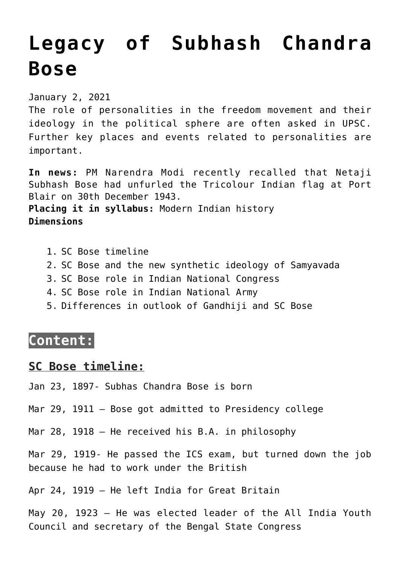# **[Legacy of Subhash Chandra](https://journalsofindia.com/legacy-of-subhash-chandra-bose/) [Bose](https://journalsofindia.com/legacy-of-subhash-chandra-bose/)**

January 2, 2021

The role of personalities in the freedom movement and their ideology in the political sphere are often asked in UPSC. Further key places and events related to personalities are important.

**In news:** PM Narendra Modi recently recalled that Netaji Subhash Bose had unfurled the Tricolour Indian flag at Port Blair on 30th December 1943. **Placing it in syllabus:** Modern Indian history **Dimensions**

- 1. SC Bose timeline
- 2. SC Bose and the new synthetic ideology of Samyavada
- 3. SC Bose role in Indian National Congress
- 4. SC Bose role in Indian National Army
- 5. Differences in outlook of Gandhiji and SC Bose

## **Content:**

#### **SC Bose timeline:**

Jan 23, 1897- Subhas Chandra Bose is born

Mar 29, 1911 – Bose got admitted to Presidency college

Mar 28, 1918 – He received his B.A. in philosophy

Mar 29, 1919- He passed the ICS exam, but turned down the job because he had to work under the British

Apr 24, 1919 – He left India for Great Britain

May 20, 1923 – He was elected leader of the All India Youth Council and secretary of the Bengal State Congress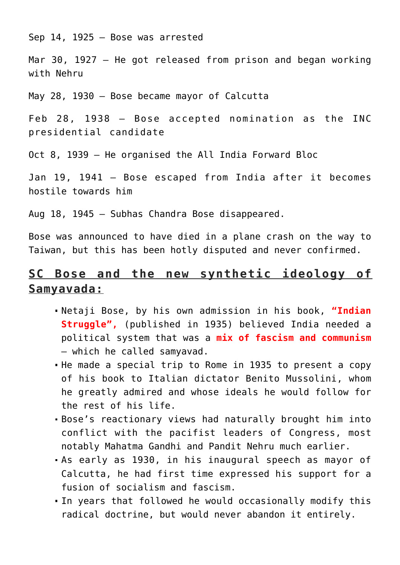Sep 14, 1925 – Bose was arrested

Mar 30, 1927 – He got released from prison and began working with Nehru

May 28, 1930 – Bose became mayor of Calcutta

Feb 28, 1938 – Bose accepted nomination as the INC presidential candidate

Oct 8, 1939 – He organised the All India Forward Bloc

Jan 19, 1941 – Bose escaped from India after it becomes hostile towards him

Aug 18, 1945 – Subhas Chandra Bose disappeared.

Bose was announced to have died in a plane crash on the way to Taiwan, but this has been hotly disputed and never confirmed.

# **SC Bose and the new synthetic ideology of Samyavada:**

- Netaji Bose, by his own admission in his book, **"Indian Struggle",** (published in 1935) believed India needed a political system that was a **mix of fascism and communism** – which he called samyavad.
- He made a special trip to Rome in 1935 to present a copy of his book to Italian dictator Benito Mussolini, whom he greatly admired and whose ideals he would follow for the rest of his life.
- Bose's reactionary views had naturally brought him into conflict with the pacifist leaders of Congress, most notably Mahatma Gandhi and Pandit Nehru much earlier.
- As early as 1930, in his inaugural speech as mayor of Calcutta, he had first time expressed his support for a fusion of socialism and fascism.
- In years that followed he would occasionally modify this radical doctrine, but would never abandon it entirely.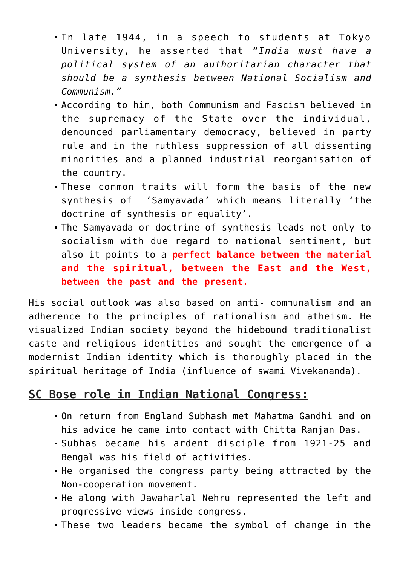- In late 1944, in a speech to students at Tokyo University, he asserted that *"India must have a political system of an authoritarian character that should be a synthesis between National Socialism and Communism."*
- According to him, both Communism and Fascism believed in the supremacy of the State over the individual, denounced parliamentary democracy, believed in party rule and in the ruthless suppression of all dissenting minorities and a planned industrial reorganisation of the country.
- These common traits will form the basis of the new synthesis of 'Samyavada' which means literally 'the doctrine of synthesis or equality'.
- The Samyavada or doctrine of synthesis leads not only to socialism with due regard to national sentiment, but also it points to a **perfect balance between the material and the spiritual, between the East and the West, between the past and the present.**

His social outlook was also based on anti- communalism and an adherence to the principles of rationalism and atheism. He visualized Indian society beyond the hidebound traditionalist caste and religious identities and sought the emergence of a modernist Indian identity which is thoroughly placed in the spiritual heritage of India (influence of swami Vivekananda).

## **SC Bose role in Indian National Congress:**

- On return from England Subhash met Mahatma Gandhi and on his advice he came into contact with Chitta Ranjan Das.
- Subhas became his ardent disciple from 1921-25 and Bengal was his field of activities.
- He organised the congress party being attracted by the Non-cooperation movement.
- He along with Jawaharlal Nehru represented the left and progressive views inside congress.
- These two leaders became the symbol of change in the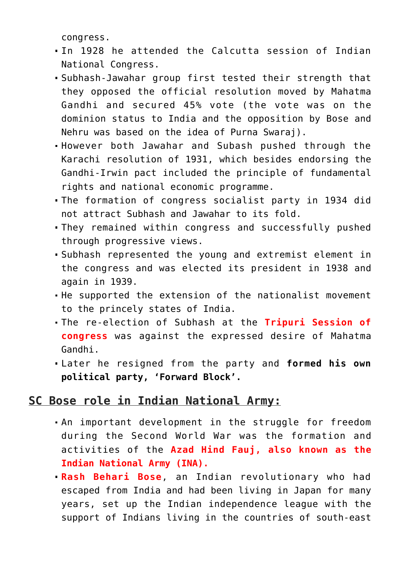congress.

- In 1928 he attended the Calcutta session of Indian National Congress.
- Subhash-Jawahar group first tested their strength that they opposed the official resolution moved by Mahatma Gandhi and secured 45% vote (the vote was on the dominion status to India and the opposition by Bose and Nehru was based on the idea of Purna Swaraj).
- However both Jawahar and Subash pushed through the Karachi resolution of 1931, which besides endorsing the Gandhi-Irwin pact included the principle of fundamental rights and national economic programme.
- The formation of congress socialist party in 1934 did not attract Subhash and Jawahar to its fold.
- They remained within congress and successfully pushed through progressive views.
- Subhash represented the young and extremist element in the congress and was elected its president in 1938 and again in 1939.
- He supported the extension of the nationalist movement to the princely states of India.
- The re-election of Subhash at the **Tripuri Session of congress** was against the expressed desire of Mahatma Gandhi.
- Later he resigned from the party and **formed his own political party, 'Forward Block'.**

## **SC Bose role in Indian National Army:**

- An important development in the struggle for freedom during the Second World War was the formation and activities of the **Azad Hind Fauj, also known as the Indian National Army (INA).**
- **Rash Behari Bose**, an Indian revolutionary who had escaped from India and had been living in Japan for many years, set up the Indian independence league with the support of Indians living in the countries of south-east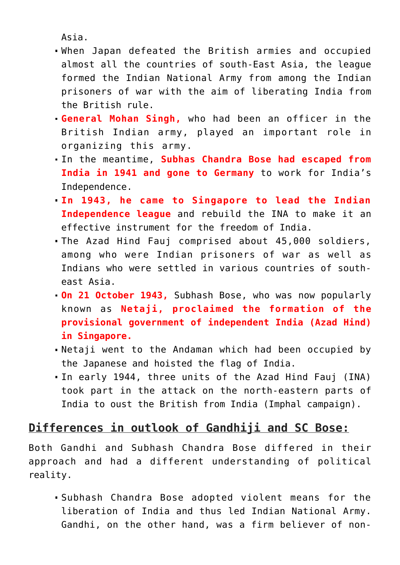Asia.

- When Japan defeated the British armies and occupied almost all the countries of south-East Asia, the league formed the Indian National Army from among the Indian prisoners of war with the aim of liberating India from the British rule.
- **General Mohan Singh,** who had been an officer in the British Indian army, played an important role in organizing this army.
- In the meantime, **Subhas Chandra Bose had escaped from India in 1941 and gone to Germany** to work for India's Independence.
- **In 1943, he came to Singapore to lead the Indian Independence league** and rebuild the INA to make it an effective instrument for the freedom of India.
- The Azad Hind Fauj comprised about 45,000 soldiers, among who were Indian prisoners of war as well as Indians who were settled in various countries of southeast Asia.
- **On 21 October 1943,** Subhash Bose, who was now popularly known as **Netaji, proclaimed the formation of the provisional government of independent India (Azad Hind) in Singapore.**
- Netaji went to the Andaman which had been occupied by the Japanese and hoisted the flag of India.
- In early 1944, three units of the Azad Hind Fauj (INA) took part in the attack on the north-eastern parts of India to oust the British from India (Imphal campaign).

# **Differences in outlook of Gandhiji and SC Bose:**

Both Gandhi and Subhash Chandra Bose differed in their approach and had a different understanding of political reality.

Subhash Chandra Bose adopted violent means for the liberation of India and thus led Indian National Army. Gandhi, on the other hand, was a firm believer of non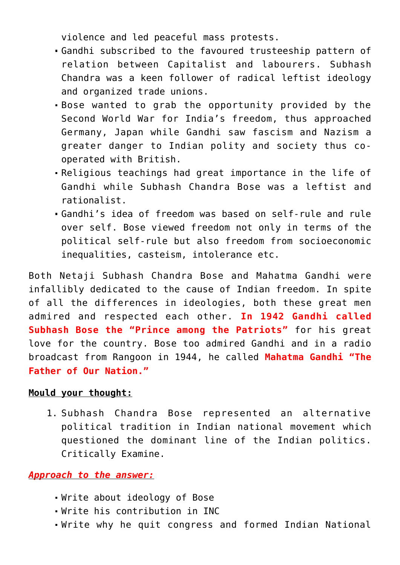violence and led peaceful mass protests.

- Gandhi subscribed to the favoured trusteeship pattern of relation between Capitalist and labourers. Subhash Chandra was a keen follower of radical leftist ideology and organized trade unions.
- Bose wanted to grab the opportunity provided by the Second World War for India's freedom, thus approached Germany, Japan while Gandhi saw fascism and Nazism a greater danger to Indian polity and society thus cooperated with British.
- Religious teachings had great importance in the life of Gandhi while Subhash Chandra Bose was a leftist and rationalist.
- Gandhi's idea of freedom was based on self-rule and rule over self. Bose viewed freedom not only in terms of the political self-rule but also freedom from socioeconomic inequalities, casteism, intolerance etc.

Both Netaji Subhash Chandra Bose and Mahatma Gandhi were infallibly dedicated to the cause of Indian freedom. In spite of all the differences in ideologies, both these great men admired and respected each other. **In 1942 Gandhi called Subhash Bose the "Prince among the Patriots"** for his great love for the country. Bose too admired Gandhi and in a radio broadcast from Rangoon in 1944, he called **Mahatma Gandhi "The Father of Our Nation."**

#### **Mould your thought:**

1. Subhash Chandra Bose represented an alternative political tradition in Indian national movement which questioned the dominant line of the Indian politics. Critically Examine.

#### *Approach to the answer:*

- Write about ideology of Bose
- Write his contribution in INC
- Write why he quit congress and formed Indian National